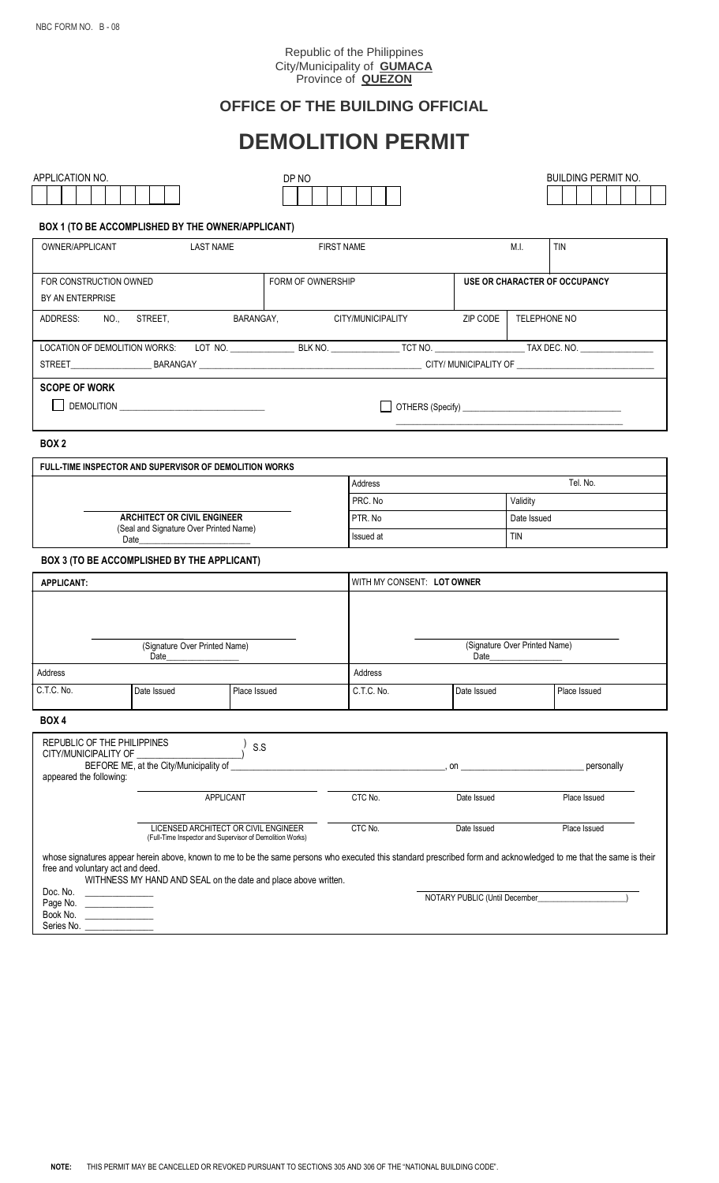#### Republic of the Philippines City/Municipality of **GUMACA** Province of **QUEZON**

# **OFFICE OF THE BUILDING OFFICIAL**

# **DEMOLITION PERMIT**

| APPLICATION NO.                                                                                                 |                                                                |                                      | DP NO   |                                                                                                                                                                                                                                                                                |                               |              | <b>BUILDING PERMIT NO.</b>                                                                                                                                        |  |
|-----------------------------------------------------------------------------------------------------------------|----------------------------------------------------------------|--------------------------------------|---------|--------------------------------------------------------------------------------------------------------------------------------------------------------------------------------------------------------------------------------------------------------------------------------|-------------------------------|--------------|-------------------------------------------------------------------------------------------------------------------------------------------------------------------|--|
|                                                                                                                 |                                                                |                                      |         |                                                                                                                                                                                                                                                                                |                               |              |                                                                                                                                                                   |  |
|                                                                                                                 |                                                                |                                      |         |                                                                                                                                                                                                                                                                                |                               |              |                                                                                                                                                                   |  |
|                                                                                                                 | BOX 1 (TO BE ACCOMPLISHED BY THE OWNER/APPLICANT)              |                                      |         |                                                                                                                                                                                                                                                                                |                               |              |                                                                                                                                                                   |  |
| OWNER/APPLICANT<br><b>LAST NAME</b>                                                                             |                                                                |                                      |         | <b>FIRST NAME</b>                                                                                                                                                                                                                                                              |                               | M.I.         | <b>TIN</b>                                                                                                                                                        |  |
|                                                                                                                 |                                                                |                                      |         |                                                                                                                                                                                                                                                                                |                               |              |                                                                                                                                                                   |  |
| FORM OF OWNERSHIP<br>FOR CONSTRUCTION OWNED                                                                     |                                                                |                                      |         |                                                                                                                                                                                                                                                                                | USE OR CHARACTER OF OCCUPANCY |              |                                                                                                                                                                   |  |
| BY AN ENTERPRISE                                                                                                |                                                                |                                      |         |                                                                                                                                                                                                                                                                                |                               |              |                                                                                                                                                                   |  |
|                                                                                                                 | ADDRESS: NO., STREET,                                          |                                      |         | BARANGAY, CITY/MUNICIPALITY                                                                                                                                                                                                                                                    | ZIP CODE                      | TELEPHONE NO |                                                                                                                                                                   |  |
|                                                                                                                 |                                                                |                                      |         |                                                                                                                                                                                                                                                                                |                               |              | LOCATION OF DEMOLITION WORKS: LOT NO. BLK NO. BLK NO. THE TET NO. THE TET NO. THE TAX DEC. NO.                                                                    |  |
|                                                                                                                 |                                                                |                                      |         |                                                                                                                                                                                                                                                                                |                               |              |                                                                                                                                                                   |  |
| <b>SCOPE OF WORK</b>                                                                                            |                                                                |                                      |         |                                                                                                                                                                                                                                                                                |                               |              |                                                                                                                                                                   |  |
|                                                                                                                 |                                                                |                                      |         |                                                                                                                                                                                                                                                                                |                               |              |                                                                                                                                                                   |  |
|                                                                                                                 |                                                                |                                      |         |                                                                                                                                                                                                                                                                                |                               |              |                                                                                                                                                                   |  |
| BOX <sub>2</sub>                                                                                                |                                                                |                                      |         |                                                                                                                                                                                                                                                                                |                               |              |                                                                                                                                                                   |  |
|                                                                                                                 | FULL-TIME INSPECTOR AND SUPERVISOR OF DEMOLITION WORKS         |                                      |         |                                                                                                                                                                                                                                                                                |                               |              |                                                                                                                                                                   |  |
|                                                                                                                 |                                                                |                                      |         |                                                                                                                                                                                                                                                                                | Address                       |              | Tel. No.                                                                                                                                                          |  |
|                                                                                                                 |                                                                |                                      |         | PRC. No                                                                                                                                                                                                                                                                        |                               |              | Validity                                                                                                                                                          |  |
| <b>ARCHITECT OR CIVIL ENGINEER</b><br>(Seal and Signature Over Printed Name)                                    |                                                                |                                      | PTR. No |                                                                                                                                                                                                                                                                                |                               | Date Issued  |                                                                                                                                                                   |  |
| Date and the state of the state of the state of the state of the state of the state of the state of the state o |                                                                |                                      |         | Issued at                                                                                                                                                                                                                                                                      | <b>TIN</b>                    |              |                                                                                                                                                                   |  |
|                                                                                                                 | BOX 3 (TO BE ACCOMPLISHED BY THE APPLICANT)                    |                                      |         |                                                                                                                                                                                                                                                                                |                               |              |                                                                                                                                                                   |  |
| <b>APPLICANT:</b>                                                                                               |                                                                |                                      |         |                                                                                                                                                                                                                                                                                | WITH MY CONSENT: LOT OWNER    |              |                                                                                                                                                                   |  |
|                                                                                                                 |                                                                |                                      |         |                                                                                                                                                                                                                                                                                |                               |              |                                                                                                                                                                   |  |
|                                                                                                                 |                                                                |                                      |         |                                                                                                                                                                                                                                                                                |                               |              |                                                                                                                                                                   |  |
| (Signature Over Printed Name)<br>Date                                                                           |                                                                |                                      |         |                                                                                                                                                                                                                                                                                | (Signature Over Printed Name) |              |                                                                                                                                                                   |  |
|                                                                                                                 |                                                                |                                      |         |                                                                                                                                                                                                                                                                                | Date                          |              |                                                                                                                                                                   |  |
| Address                                                                                                         |                                                                |                                      |         | Address                                                                                                                                                                                                                                                                        |                               |              |                                                                                                                                                                   |  |
| C.T.C. No.                                                                                                      | Date Issued                                                    | Place Issued                         |         | C.T.C. No.                                                                                                                                                                                                                                                                     | Date Issued                   |              | Place Issued                                                                                                                                                      |  |
| BOX 4                                                                                                           |                                                                |                                      |         |                                                                                                                                                                                                                                                                                |                               |              |                                                                                                                                                                   |  |
| REPUBLIC OF THE PHILIPPINES                                                                                     |                                                                | S.S                                  |         |                                                                                                                                                                                                                                                                                |                               |              |                                                                                                                                                                   |  |
| CITY/MUNICIPALITY OF<br>BEFORE ME, at the City/Municipality of                                                  |                                                                |                                      |         |                                                                                                                                                                                                                                                                                |                               |              | personally                                                                                                                                                        |  |
| appeared the following:                                                                                         |                                                                |                                      |         | $\sim$ 0.0 $\sim$ 0.0 $\sim$ 0.0 $\sim$ 0.0 $\sim$ 0.0 $\sim$ 0.0 $\sim$ 0.0 $\sim$ 0.0 $\sim$ 0.0 $\sim$ 0.0 $\sim$ 0.0 $\sim$ 0.0 $\sim$ 0.0 $\sim$ 0.0 $\sim$ 0.0 $\sim$ 0.0 $\sim$ 0.0 $\sim$ 0.0 $\sim$ 0.0 $\sim$ 0.0 $\sim$ 0.0 $\sim$ 0.0 $\sim$ 0.0 $\sim$ 0.0 $\sim$ |                               |              |                                                                                                                                                                   |  |
| APPLICANT                                                                                                       |                                                                |                                      |         | CTC No.                                                                                                                                                                                                                                                                        | Date Issued                   |              | Place Issued                                                                                                                                                      |  |
|                                                                                                                 |                                                                |                                      |         |                                                                                                                                                                                                                                                                                |                               |              |                                                                                                                                                                   |  |
|                                                                                                                 | (Full-Time Inspector and Supervisor of Demolition Works)       | LICENSED ARCHITECT OR CIVIL ENGINEER |         | CTC No.                                                                                                                                                                                                                                                                        | Date Issued                   |              | Place Issued                                                                                                                                                      |  |
| free and voluntary act and deed.                                                                                |                                                                |                                      |         |                                                                                                                                                                                                                                                                                |                               |              | whose signatures appear herein above, known to me to be the same persons who executed this standard prescribed form and acknowledged to me that the same is their |  |
|                                                                                                                 | WITHNESS MY HAND AND SEAL on the date and place above written. |                                      |         |                                                                                                                                                                                                                                                                                |                               |              |                                                                                                                                                                   |  |
| Doc. No.<br>Page No. _________________<br>Book No.                                                              |                                                                |                                      |         |                                                                                                                                                                                                                                                                                |                               |              |                                                                                                                                                                   |  |